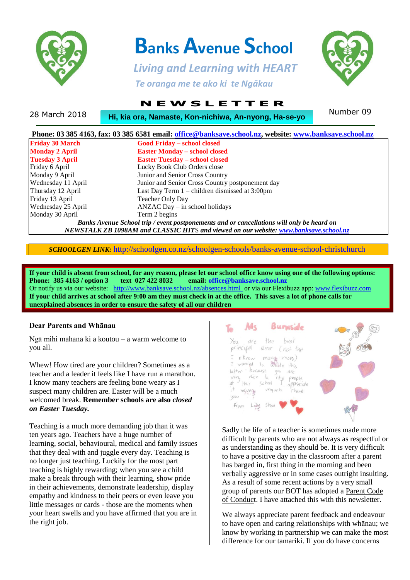

# **Banks Avenue School**

 *Living and Learning with HEART Te oranga me te ako ki te Ngākau*



## **N E W S L E T T E R**

28 March 2018 Number 09 **Hi, kia ora, Namaste, Kon-nichiwa, An-nyong, Ha-se-yo**

| <b>Friday 30 March</b> | <b>Good Friday - school closed</b>                                                        |
|------------------------|-------------------------------------------------------------------------------------------|
| <b>Monday 2 April</b>  | <b>Easter Monday - school closed</b>                                                      |
| <b>Tuesday 3 April</b> | <b>Easter Tuesday – school closed</b>                                                     |
| Friday 6 April         | Lucky Book Club Orders close                                                              |
| Monday 9 April         | Junior and Senior Cross Country                                                           |
| Wednesday 11 April     | Junior and Senior Cross Country postponement day                                          |
| Thursday 12 April      | Last Day Term $1$ – children dismissed at 3:00pm                                          |
| Friday 13 April        | <b>Teacher Only Day</b>                                                                   |
| Wednesday 25 April     | $ANZAC$ Day $-$ in school holidays                                                        |
| Monday 30 April        | Term 2 begins                                                                             |
|                        | Banks Avenue School trip / event postponements and or cancellations will only be heard on |
|                        | NEWSTALK ZB 1098AM and CLASSIC HITS and viewed on our website: www.banksave.school.nz     |

*SCHOOLGEN LINK:* <http://schoolgen.co.nz/schoolgen-schools/banks-avenue-school-christchurch>

**If your child is absent from school, for any reason, please let our school office know using one of the following options: Phone: 385 4163 / option 3 text 027 422 8032 email: [office@banksave.school.nz](mailto:office@banksave.school.nz)** Or notify us via our website: <http://www.banksave.school.nz/absences.html> or via our Flexibuzz app: [www.flexibuzz.com](http://www.flexibuzz.com/) **If your child arrives at school after 9:00 am they must check in at the office. This saves a lot of phone calls for unexplained absences in order to ensure the safety of all our children**

#### **Dear Parents and Whānau**

Ngā mihi mahana ki a koutou – a warm welcome to you all.

Whew! How tired are your children? Sometimes as a teacher and a leader it feels like I have run a marathon. I know many teachers are feeling bone weary as I suspect many children are. Easter will be a much welcomed break. **Remember schools are also** *closed on Easter Tuesday.*

Teaching is a much more demanding job than it was ten years ago. Teachers have a huge number of learning, social, behavioural, medical and family issues that they deal with and juggle every day. Teaching is no longer just teaching. Luckily for the most part teaching is highly rewarding; when you see a child make a break through with their learning, show pride in their achievements, demonstrate leadership, display empathy and kindness to their peers or even leave you little messages or cards - those are the moments when your heart swells and you have affirmed that you are in the right job.



Sadly the life of a teacher is sometimes made more difficult by parents who are not always as respectful or as understanding as they should be. It is very difficult to have a positive day in the classroom after a parent has barged in, first thing in the morning and been verbally aggressive or in some cases outright insulting. As a result of some recent actions by a very small group of parents our BOT has adopted a Parent Code of Conduct. I have attached this with this newsletter.

We always appreciate parent feedback and endeavour to have open and caring relationships with whānau; we know by working in partnership we can make the most difference for our tamariki. If you do have concerns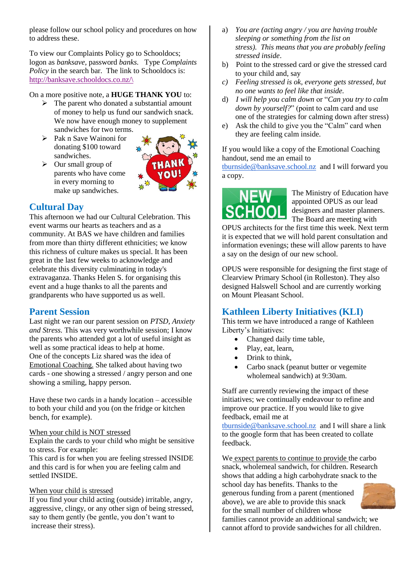please follow our school policy and procedures on how to address these.

To view our Complaints Policy go to Schooldocs; logon as *banksave,* password *banks.* Type *Complaints Policy* in the search bar. The link to Schooldocs is: [http://banksave.schooldocs.co.nz/\](http://banksave.schooldocs.co.nz/)

On a more positive note, a **HUGE THANK YOU** to:

- $\triangleright$  The parent who donated a substantial amount of money to help us fund our sandwich snack. We now have enough money to supplement sandwiches for two terms.
- $\triangleright$  Pak n Save Wainoni for donating \$100 toward sandwiches.

parents who have come in every morning to make up sandwiches.

 $\triangleright$  Our small group of



## **Cultural Day**

This afternoon we had our Cultural Celebration. This event warms our hearts as teachers and as a community. At BAS we have children and families from more than thirty different ethnicities; we know this richness of culture makes us special. It has been great in the last few weeks to acknowledge and celebrate this diversity culminating in today's extravaganza. Thanks Helen S. for organising this event and a huge thanks to all the parents and grandparents who have supported us as well.

## **Parent Session**

Last night we ran our parent session on *PTSD, Anxiety and Stress.* This was very worthwhile session; I know the parents who attended got a lot of useful insight as well as some practical ideas to help at home. One of the concepts Liz shared was the idea of Emotional Coaching. She talked about having two cards - one showing a stressed / angry person and one showing a smiling, happy person.

Have these two cards in a handy location – accessible to both your child and you (on the fridge or kitchen bench, for example).

#### When your child is NOT stressed

Explain the cards to your child who might be sensitive to stress. For example:

This card is for when you are feeling stressed INSIDE and this card is for when you are feeling calm and settled INSIDE.

#### When your child is stressed

If you find your child acting (outside) irritable, angry, aggressive, clingy, or any other sign of being stressed, say to them gently (be gentle, you don't want to increase their stress).

- a) *You are (acting angry / you are having trouble sleeping or something from the list on stress). This means that you are probably feeling stressed inside*.
- b) Point to the stressed card or give the stressed card to your child and, say
- *c) Feeling stressed is ok, everyone gets stressed, but no one wants to feel like that inside.*
- d) *I will help you calm down* or "*Can you try to calm down by yourself?*" (point to calm card and use one of the strategies for calming down after stress)
- e) Ask the child to give you the "Calm" card when they are feeling calm inside.

If you would like a copy of the Emotional Coaching handout, send me an email to

[tburnside@banksave.school.nz](mailto:tburnside@banksave.school.nz) and I will forward you a copy.



The Ministry of Education have appointed OPUS as our lead designers and master planners. The Board are meeting with

OPUS architects for the first time this week. Next term it is expected that we will hold parent consultation and information evenings; these will allow parents to have a say on the design of our new school.

OPUS were responsible for designing the first stage of Clearview Primary School (in Rolleston). They also designed Halswell School and are currently working on Mount Pleasant School.

## **Kathleen Liberty Initiatives (KLI)**

This term we have introduced a range of Kathleen Liberty's Initiatives:

- Changed daily time table,
- Play, eat, learn,
- Drink to think,
- Carbo snack (peanut butter or vegemite wholemeal sandwich) at 9:30am.

Staff are currently reviewing the impact of these initiatives; we continually endeavour to refine and improve our practice. If you would like to give feedback, email me at

[tburnside@banksave.school.nz](mailto:tburnside@banksave.school.nz) and I will share a link to the google form that has been created to collate feedback.

We expect parents to continue to provide the carbo snack, wholemeal sandwich, for children. Research shows that adding a high carbohydrate snack to the school day has benefits. Thanks to the generous funding from a parent (mentioned above), we are able to provide this snack for the small number of children whose



families cannot provide an additional sandwich; we cannot afford to provide sandwiches for all children.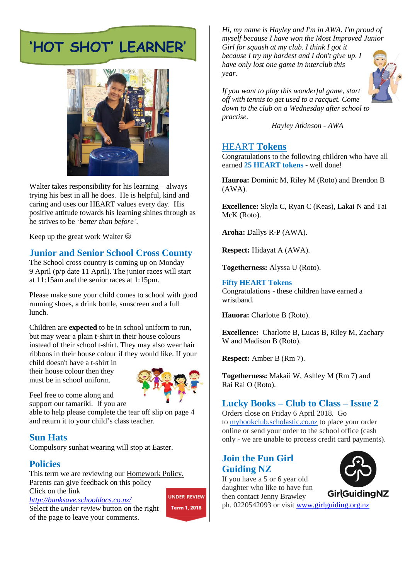## **'HOT SHOT' LEARNER'**



Walter takes responsibility for his learning – always trying his best in all he does. He is helpful, kind and caring and uses our HEART values every day. His positive attitude towards his learning shines through as he strives to be '*better than before'.*

Keep up the great work Walter  $\odot$ 

## **Junior and Senior School Cross County**

The School cross country is coming up on Monday 9 April (p/p date 11 April). The junior races will start at 11:15am and the senior races at 1:15pm.

Please make sure your child comes to school with good running shoes, a drink bottle, sunscreen and a full lunch.

Children are **expected** to be in school uniform to run, but may wear a plain t-shirt in their house colours instead of their school t-shirt. They may also wear hair ribbons in their house colour if they would like. If your

child doesn't have a t-shirt in their house colour then they must be in school uniform.



Feel free to come along and support our tamariki. If you are

able to help please complete the tear off slip on page 4 and return it to your child's class teacher.

## **Sun Hats**

Compulsory sunhat wearing will stop at Easter.

## **Policies**

This term we are reviewing our Homework Policy. Parents can give feedback on this policy Click on the link

*<http://banksave.schooldocs.co.nz/>*

Select the *under review* button on the right of the page to leave your comments.

**UNDER REVIEW** Term 1, 2018

*Hi, my name is Hayley and I'm in AWA. I'm proud of myself because I have won the Most Improved Junior Girl for squash at my club. I think I got it because I try my hardest and I don't give up. I* 

*have only lost one game in interclub this year.*



*If you want to play this wonderful game, start off with tennis to get used to a racquet. Come down to the club on a Wednesday after school to practise.*

*Hayley Atkinson - AWA*

#### HEART **Tokens**

Congratulations to the following children who have all earned **25 HEART tokens** - well done!

**Hauroa:** Dominic M, Riley M (Roto) and Brendon B (AWA).

**Excellence:** Skyla C, Ryan C (Keas), Lakai N and Tai McK (Roto).

**Aroha:** Dallys R-P (AWA).

**Respect:** Hidayat A (AWA).

**Togetherness:** Alyssa U (Roto).

**Fifty HEART Tokens** Congratulations - these children have earned a wristband.

**Hauora:** Charlotte B (Roto).

**Excellence:** Charlotte B, Lucas B, Riley M, Zachary W and Madison B (Roto).

**Respect:** Amber B (Rm 7).

**Togetherness:** Makaii W, Ashley M (Rm 7) and Rai Rai O (Roto).

## **Lucky Books – Club to Class – Issue 2**

Orders close on Friday 6 April 2018. Go to [mybookclub.scholastic.co.nz](http://mybookclub.scholastic.co.nz/) to place your order online or send your order to the school office (cash only - we are unable to process credit card payments).

## **Join the Fun Girl Guiding NZ**

If you have a 5 or 6 year old daughter who like to have fun then contact Jenny Brawley



ph. 0220542093 or visit [www.girlguiding.org.nz](http://www.girlguiding.org.nz/)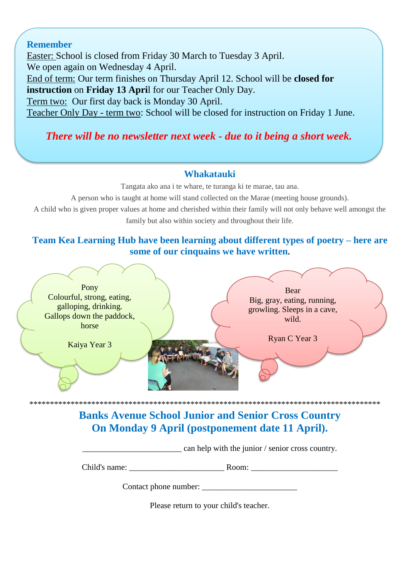#### **Remember**

Easter: School is closed from Friday 30 March to Tuesday 3 April. We open again on Wednesday 4 April. End of term: Our term finishes on Thursday April 12. School will be **closed for instruction** on **Friday 13 Apri**l for our Teacher Only Day. Term two: Our first day back is Monday 30 April. Teacher Only Day - term two: School will be closed for instruction on Friday 1 June.

## *There will be no newsletter next week - due to it being a short week.*

#### **Whakatauki**

Tangata ako ana i te whare, te turanga ki te marae, tau ana.

A person who is taught at home will stand collected on the Marae (meeting house grounds).

A child who is given proper values at home and cherished within their family will not only behave well amongst the family but also within society and throughout their life.

## **Team Kea Learning Hub have been learning about different types of poetry – here are some of our cinquains we have written.**



**Banks Avenue School Junior and Senior Cross Country On Monday 9 April (postponement date 11 April).**

can help with the junior / senior cross country.

Child's name:  $\blacksquare$ 

Contact phone number:

Please return to your child's teacher.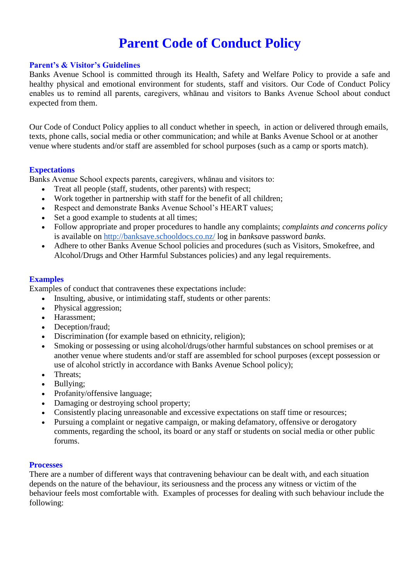## **Parent Code of Conduct Policy**

#### **Parent's & Visitor's Guidelines**

Banks Avenue School is committed through its Health, Safety and Welfare Policy to provide a safe and healthy physical and emotional environment for students, staff and visitors. Our Code of Conduct Policy enables us to remind all parents, caregivers, whānau and visitors to Banks Avenue School about conduct expected from them.

Our Code of Conduct Policy applies to all conduct whether in speech, in action or delivered through emails, texts, phone calls, social media or other communication; and while at Banks Avenue School or at another venue where students and/or staff are assembled for school purposes (such as a camp or sports match).

#### **Expectations**

Banks Avenue School expects parents, caregivers, whānau and visitors to:

- Treat all people (staff, students, other parents) with respect;
- Work together in partnership with staff for the benefit of all children;
- Respect and demonstrate Banks Avenue School's HEART values;
- Set a good example to students at all times;
- Follow appropriate and proper procedures to handle any complaints; *complaints and concerns policy* is available on <http://banksave.schooldocs.co.nz/> log in *banksav*e password *banks.*
- Adhere to other Banks Avenue School policies and procedures (such as Visitors, Smokefree, and Alcohol/Drugs and Other Harmful Substances policies) and any legal requirements.

#### **Examples**

Examples of conduct that contravenes these expectations include:

- Insulting, abusive, or intimidating staff, students or other parents:
- Physical aggression:
- Harassment;
- Deception/fraud;
- Discrimination (for example based on ethnicity, religion);
- Smoking or possessing or using alcohol/drugs/other harmful substances on school premises or at another venue where students and/or staff are assembled for school purposes (except possession or use of alcohol strictly in accordance with Banks Avenue School policy);
- Threats:
- Bullying;
- Profanity/offensive language;
- Damaging or destroying school property;
- Consistently placing unreasonable and excessive expectations on staff time or resources;
- Pursuing a complaint or negative campaign, or making defamatory, offensive or derogatory comments, regarding the school, its board or any staff or students on social media or other public forums.

#### **Processes**

There are a number of different ways that contravening behaviour can be dealt with, and each situation depends on the nature of the behaviour, its seriousness and the process any witness or victim of the behaviour feels most comfortable with. Examples of processes for dealing with such behaviour include the following: